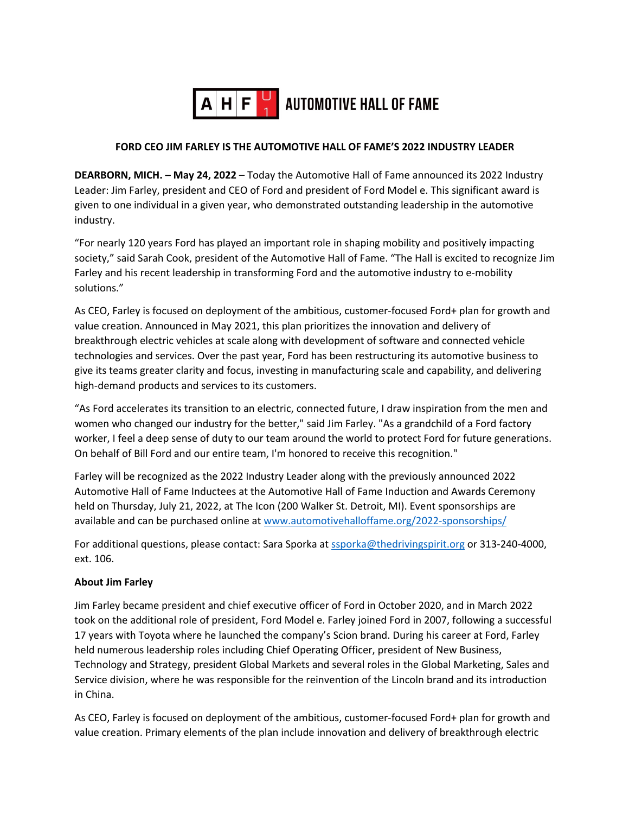

# **FORD CEO JIM FARLEY IS THE AUTOMOTIVE HALL OF FAME'S 2022 INDUSTRY LEADER**

**DEARBORN, MICH. – May 24, 2022** – Today the Automotive Hall of Fame announced its 2022 Industry Leader: Jim Farley, president and CEO of Ford and president of Ford Model e. This significant award is given to one individual in a given year, who demonstrated outstanding leadership in the automotive industry.

"For nearly 120 years Ford has played an important role in shaping mobility and positively impacting society," said Sarah Cook, president of the Automotive Hall of Fame. "The Hall is excited to recognize Jim Farley and his recent leadership in transforming Ford and the automotive industry to e-mobility solutions."

As CEO, Farley is focused on deployment of the ambitious, customer-focused Ford+ plan for growth and value creation. Announced in May 2021, this plan prioritizes the innovation and delivery of breakthrough electric vehicles at scale along with development of software and connected vehicle technologies and services. Over the past year, Ford has been restructuring its automotive business to give its teams greater clarity and focus, investing in manufacturing scale and capability, and delivering high-demand products and services to its customers.

"As Ford accelerates its transition to an electric, connected future, I draw inspiration from the men and women who changed our industry for the better," said Jim Farley. "As a grandchild of a Ford factory worker, I feel a deep sense of duty to our team around the world to protect Ford for future generations. On behalf of Bill Ford and our entire team, I'm honored to receive this recognition."

Farley will be recognized as the 2022 Industry Leader along with the previously announced 2022 Automotive Hall of Fame Inductees at the Automotive Hall of Fame Induction and Awards Ceremony held on Thursday, July 21, 2022, at The Icon (200 Walker St. Detroit, MI). Event sponsorships are available and can be purchased online at www.automotivehalloffame.org/2022-sponsorships/

For additional questions, please contact: Sara Sporka at ssporka@thedrivingspirit.org or 313-240-4000, ext. 106.

#### **About Jim Farley**

Jim Farley became president and chief executive officer of Ford in October 2020, and in March 2022 took on the additional role of president, Ford Model e. Farley joined Ford in 2007, following a successful 17 years with Toyota where he launched the company's Scion brand. During his career at Ford, Farley held numerous leadership roles including Chief Operating Officer, president of New Business, Technology and Strategy, president Global Markets and several roles in the Global Marketing, Sales and Service division, where he was responsible for the reinvention of the Lincoln brand and its introduction in China.

As CEO, Farley is focused on deployment of the ambitious, customer-focused Ford+ plan for growth and value creation. Primary elements of the plan include innovation and delivery of breakthrough electric